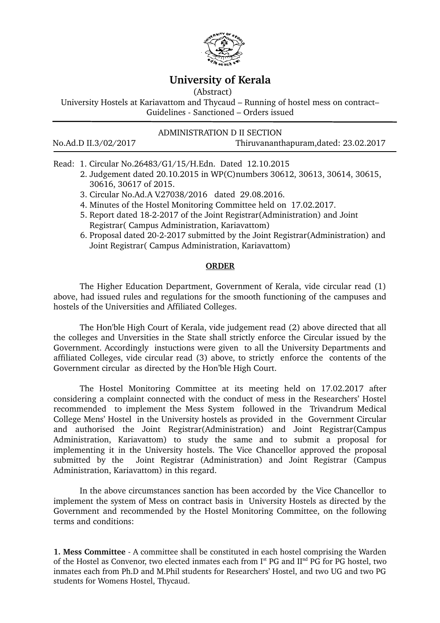

## **University of Kerala**

(Abstract)

University Hostels at Kariavattom and Thycaud – Running of hostel mess on contract– Guidelines Sanctioned – Orders issued

## ADMINISTRATION D II SECTION

No.Ad.D II.3/02/2017 Thiruvananthapuram,dated: 23.02.2017

Read: 1. Circular No.26483/G1/15/H.Edn. Dated 12.10.2015

- 2. Judgement dated 20.10.2015 in WP(C)numbers 30612, 30613, 30614, 30615, 30616, 30617 of 2015.
- 3. Circular No.Ad.A V.27038/2016 dated 29.08.2016.
- 4. Minutes of the Hostel Monitoring Committee held on 17.02.2017.
- 5. Report dated 1822017 of the Joint Registrar(Administration) and Joint Registrar( Campus Administration, Kariavattom)
- 6. Proposal dated 20-2-2017 submitted by the Joint Registrar (Administration) and Joint Registrar( Campus Administration, Kariavattom)

## **ORDER**

 The Higher Education Department, Government of Kerala, vide circular read (1) above, had issued rules and regulations for the smooth functioning of the campuses and hostels of the Universities and Affiliated Colleges.

The Hon'ble High Court of Kerala, vide judgement read (2) above directed that all the colleges and Unversities in the State shall strictly enforce the Circular issued by the Government. Accordingly instuctions were given to all the University Departments and affiliated Colleges, vide circular read (3) above, to strictly enforce the contents of the Government circular as directed by the Hon'ble High Court.

The Hostel Monitoring Committee at its meeting held on 17.02.2017 after considering a complaint connected with the conduct of mess in the Researchers' Hostel recommended to implement the Mess System followed in the Trivandrum Medical College Mens' Hostel in the University hostels as provided in the Government Circular and authorised the Joint Registrar(Administration) and Joint Registrar(Campus Administration, Kariavattom) to study the same and to submit a proposal for implementing it in the University hostels. The Vice Chancellor approved the proposal submitted by the Joint Registrar (Administration) and Joint Registrar (Campus Administration, Kariavattom) in this regard.

In the above circumstances sanction has been accorded by the Vice Chancellor to implement the system of Mess on contract basis in University Hostels as directed by the Government and recommended by the Hostel Monitoring Committee, on the following terms and conditions:

**1. Mess Committee** - A committee shall be constituted in each hostel comprising the Warden of the Hostel as Convenor, two elected inmates each from I<sup>st</sup> PG and II<sup>nd</sup> PG for PG hostel, two inmates each from Ph.D and M.Phil students for Researchers' Hostel, and two UG and two PG students for Womens Hostel, Thycaud.